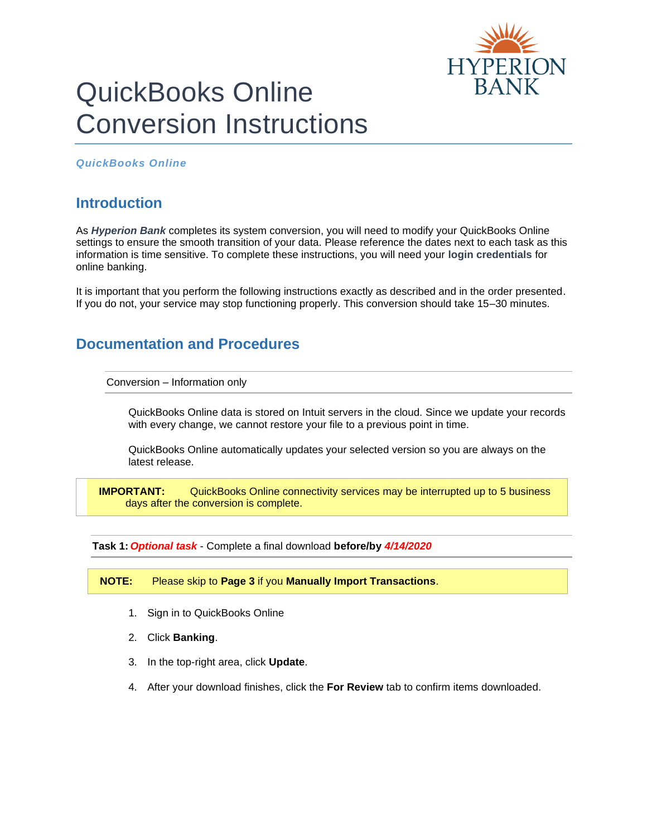

# QuickBooks Online Conversion Instructions

*QuickBooks Online* 

## **Introduction**

As *Hyperion Bank* completes its system conversion, you will need to modify your QuickBooks Online settings to ensure the smooth transition of your data. Please reference the dates next to each task as this information is time sensitive. To complete these instructions, you will need your **login credentials** for online banking.

It is important that you perform the following instructions exactly as described and in the order presented. If you do not, your service may stop functioning properly. This conversion should take 15–30 minutes.

## **Documentation and Procedures**

Conversion – Information only

QuickBooks Online data is stored on Intuit servers in the cloud. Since we update your records with every change, we cannot restore your file to a previous point in time.

QuickBooks Online automatically updates your selected version so you are always on the latest release.

**IMPORTANT:** QuickBooks Online connectivity services may be interrupted up to 5 business days after the conversion is complete.

**Task 1:** *Optional task* - Complete a final download **before/by** *4/14/2020*

**NOTE:** Please skip to **Page 3** if you **Manually Import Transactions**.

- 1. Sign in to QuickBooks Online
- 2. Click **Banking**.
- 3. In the top-right area, click **Update**.
- 4. After your download finishes, click the **For Review** tab to confirm items downloaded.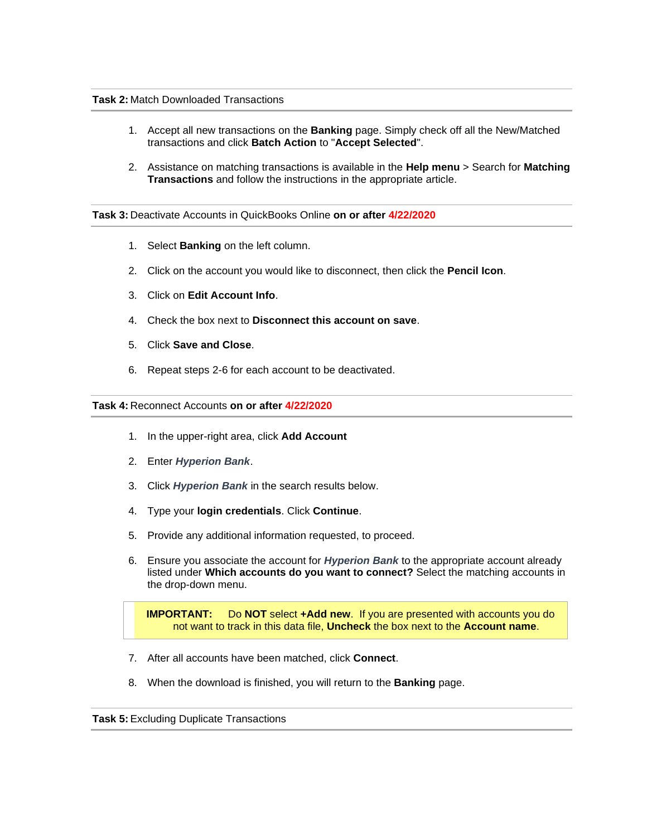#### **Task 2:** Match Downloaded Transactions

- 1. Accept all new transactions on the **Banking** page. Simply check off all the New/Matched transactions and click **Batch Action** to "**Accept Selected**".
- 2. Assistance on matching transactions is available in the **Help menu** > Search for **Matching Transactions** and follow the instructions in the appropriate article.

### **Task 3:** Deactivate Accounts in QuickBooks Online **on or after 4/22/2020**

- 1. Select **Banking** on the left column.
- 2. Click on the account you would like to disconnect, then click the **Pencil Icon**.
- 3. Click on **Edit Account Info**.
- 4. Check the box next to **Disconnect this account on save**.
- 5. Click **Save and Close**.
- 6. Repeat steps 2-6 for each account to be deactivated.

#### **Task 4:** Reconnect Accounts **on or after 4/22/2020**

- 1. In the upper-right area, click **Add Account**
- 2. Enter *Hyperion Bank*.
- 3. Click *Hyperion Bank* in the search results below.
- 4. Type your **login credentials**. Click **Continue**.
- 5. Provide any additional information requested, to proceed.
- 6. Ensure you associate the account for *Hyperion Bank* to the appropriate account already listed under **Which accounts do you want to connect?** Select the matching accounts in the drop-down menu.

**IMPORTANT:** Do **NOT** select **+Add new**. If you are presented with accounts you do not want to track in this data file, **Uncheck** the box next to the **Account name**.

- 7. After all accounts have been matched, click **Connect**.
- 8. When the download is finished, you will return to the **Banking** page.

**Task 5:** Excluding Duplicate Transactions